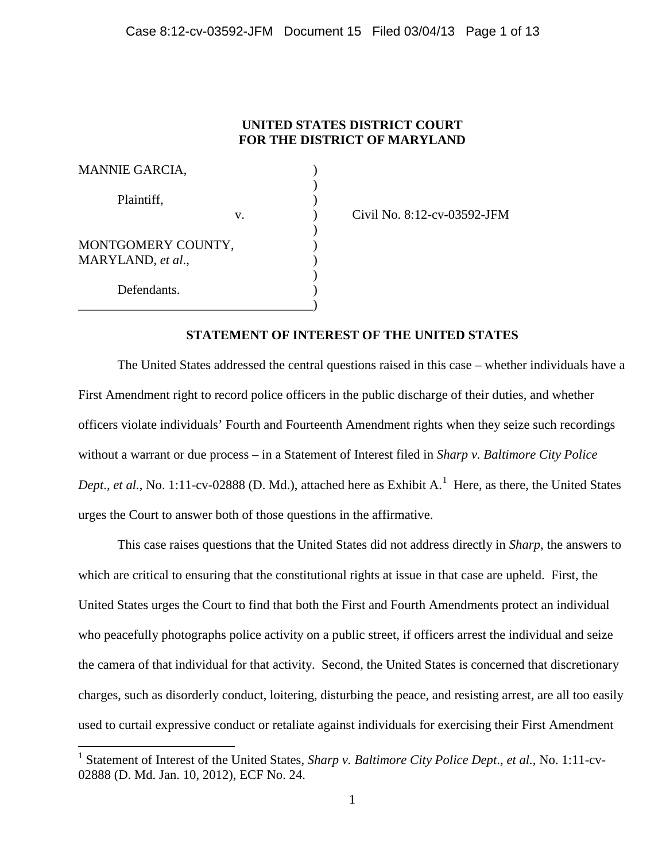# **UNITED STATES DISTRICT COURT FOR THE DISTRICT OF MARYLAND**

| <b>MANNIE GARCIA,</b>                   |  |
|-----------------------------------------|--|
| Plaintiff,                              |  |
| V.                                      |  |
| MONTGOMERY COUNTY,<br>MARYLAND, et al., |  |
| Defendants.                             |  |

 $\overline{a}$ 

Civil No. 8:12-cv-03592-JFM

# **STATEMENT OF INTEREST OF THE UNITED STATES**

The United States addressed the central questions raised in this case – whether individuals have a First Amendment right to record police officers in the public discharge of their duties, and whether officers violate individuals' Fourth and Fourteenth Amendment rights when they seize such recordings without a warrant or due process – in a Statement of Interest filed in *Sharp v. Baltimore City Police Dept., et al.*, No. [1](#page-0-0):11-cv-02888 (D. Md.), attached here as Exhibit A.<sup>1</sup> Here, as there, the United States urges the Court to answer both of those questions in the affirmative.

This case raises questions that the United States did not address directly in *Sharp*, the answers to which are critical to ensuring that the constitutional rights at issue in that case are upheld. First, the United States urges the Court to find that both the First and Fourth Amendments protect an individual who peacefully photographs police activity on a public street, if officers arrest the individual and seize the camera of that individual for that activity. Second, the United States is concerned that discretionary charges, such as disorderly conduct, loitering, disturbing the peace, and resisting arrest, are all too easily used to curtail expressive conduct or retaliate against individuals for exercising their First Amendment

<span id="page-0-0"></span><sup>1</sup> Statement of Interest of the United States, *Sharp v. Baltimore City Police Dept*.*, et al.*, No. 1:11-cv-02888 (D. Md. Jan. 10, 2012), ECF No. 24.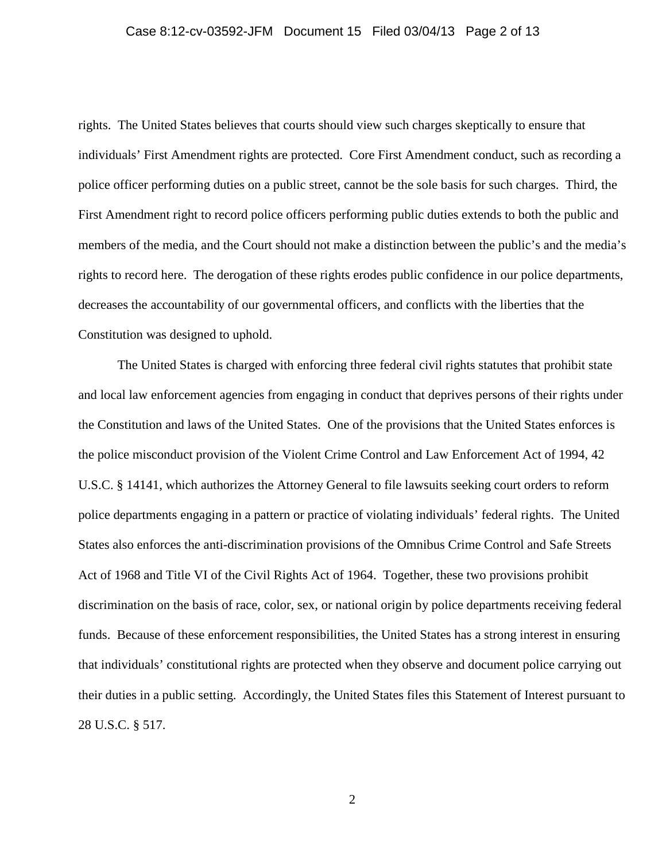#### Case 8:12-cv-03592-JFM Document 15 Filed 03/04/13 Page 2 of 13

rights. The United States believes that courts should view such charges skeptically to ensure that individuals' First Amendment rights are protected. Core First Amendment conduct, such as recording a police officer performing duties on a public street, cannot be the sole basis for such charges. Third, the First Amendment right to record police officers performing public duties extends to both the public and members of the media, and the Court should not make a distinction between the public's and the media's rights to record here. The derogation of these rights erodes public confidence in our police departments, decreases the accountability of our governmental officers, and conflicts with the liberties that the Constitution was designed to uphold.

The United States is charged with enforcing three federal civil rights statutes that prohibit state and local law enforcement agencies from engaging in conduct that deprives persons of their rights under the Constitution and laws of the United States. One of the provisions that the United States enforces is the police misconduct provision of the Violent Crime Control and Law Enforcement Act of 1994, 42 U.S.C. § 14141, which authorizes the Attorney General to file lawsuits seeking court orders to reform police departments engaging in a pattern or practice of violating individuals' federal rights. The United States also enforces the anti-discrimination provisions of the Omnibus Crime Control and Safe Streets Act of 1968 and Title VI of the Civil Rights Act of 1964. Together, these two provisions prohibit discrimination on the basis of race, color, sex, or national origin by police departments receiving federal funds. Because of these enforcement responsibilities, the United States has a strong interest in ensuring that individuals' constitutional rights are protected when they observe and document police carrying out their duties in a public setting. Accordingly, the United States files this Statement of Interest pursuant to 28 U.S.C. § 517.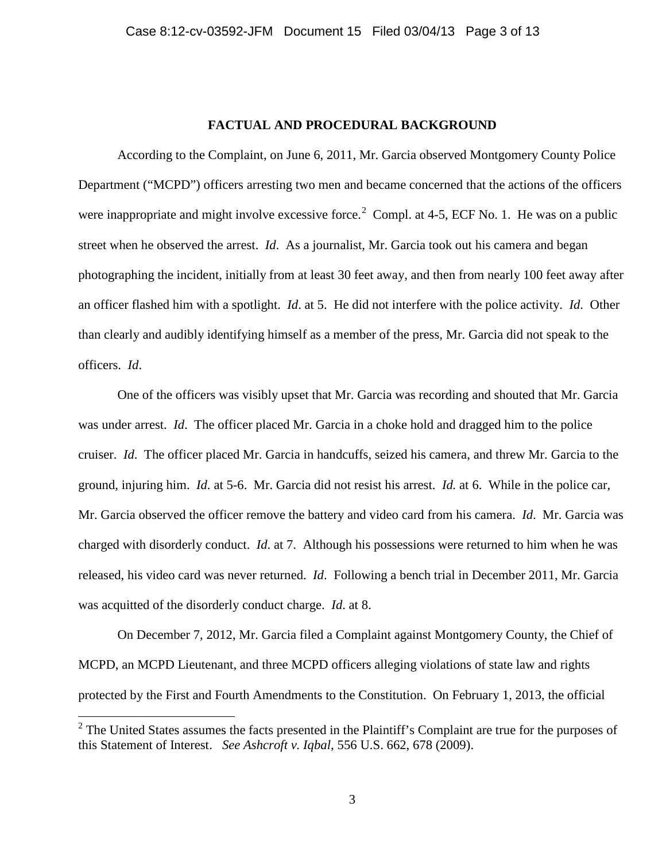### **FACTUAL AND PROCEDURAL BACKGROUND**

According to the Complaint, on June 6, 2011, Mr. Garcia observed Montgomery County Police Department ("MCPD") officers arresting two men and became concerned that the actions of the officers were inappropriate and might involve excessive force.<sup>[2](#page-2-0)</sup> Compl. at 4-5, ECF No. 1. He was on a public street when he observed the arrest. *Id*. As a journalist, Mr. Garcia took out his camera and began photographing the incident, initially from at least 30 feet away, and then from nearly 100 feet away after an officer flashed him with a spotlight. *Id*. at 5. He did not interfere with the police activity. *Id*. Other than clearly and audibly identifying himself as a member of the press, Mr. Garcia did not speak to the officers. *Id*.

One of the officers was visibly upset that Mr. Garcia was recording and shouted that Mr. Garcia was under arrest. *Id*. The officer placed Mr. Garcia in a choke hold and dragged him to the police cruiser. *Id*. The officer placed Mr. Garcia in handcuffs, seized his camera, and threw Mr. Garcia to the ground, injuring him. *Id*. at 5-6. Mr. Garcia did not resist his arrest. *Id.* at 6. While in the police car, Mr. Garcia observed the officer remove the battery and video card from his camera. *Id*. Mr. Garcia was charged with disorderly conduct. *Id*. at 7. Although his possessions were returned to him when he was released, his video card was never returned. *Id*. Following a bench trial in December 2011, Mr. Garcia was acquitted of the disorderly conduct charge. *Id*. at 8.

On December 7, 2012, Mr. Garcia filed a Complaint against Montgomery County, the Chief of MCPD, an MCPD Lieutenant, and three MCPD officers alleging violations of state law and rights protected by the First and Fourth Amendments to the Constitution. On February 1, 2013, the official

<span id="page-2-0"></span><sup>&</sup>lt;sup>2</sup> The United States assumes the facts presented in the Plaintiff's Complaint are true for the purposes of this Statement of Interest. *See Ashcroft v. Iqbal*, 556 U.S. 662, 678 (2009).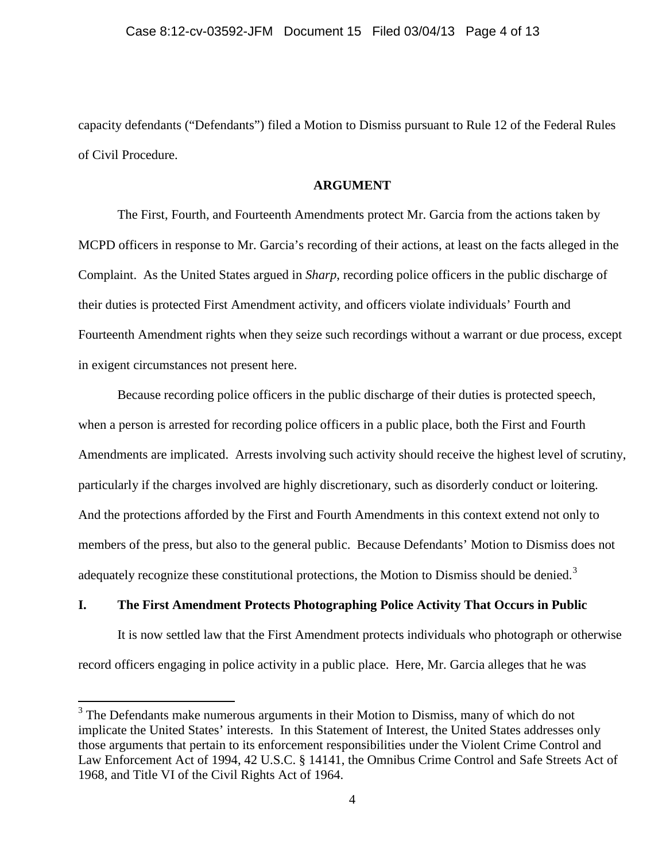capacity defendants ("Defendants") filed a Motion to Dismiss pursuant to Rule 12 of the Federal Rules of Civil Procedure.

#### **ARGUMENT**

The First, Fourth, and Fourteenth Amendments protect Mr. Garcia from the actions taken by MCPD officers in response to Mr. Garcia's recording of their actions, at least on the facts alleged in the Complaint. As the United States argued in *Sharp*, recording police officers in the public discharge of their duties is protected First Amendment activity, and officers violate individuals' Fourth and Fourteenth Amendment rights when they seize such recordings without a warrant or due process, except in exigent circumstances not present here.

Because recording police officers in the public discharge of their duties is protected speech, when a person is arrested for recording police officers in a public place, both the First and Fourth Amendments are implicated. Arrests involving such activity should receive the highest level of scrutiny, particularly if the charges involved are highly discretionary, such as disorderly conduct or loitering. And the protections afforded by the First and Fourth Amendments in this context extend not only to members of the press, but also to the general public. Because Defendants' Motion to Dismiss does not adequately recognize these constitutional protections, the Motion to Dismiss should be denied.<sup>[3](#page-3-0)</sup>

## **I. The First Amendment Protects Photographing Police Activity That Occurs in Public**

It is now settled law that the First Amendment protects individuals who photograph or otherwise record officers engaging in police activity in a public place. Here, Mr. Garcia alleges that he was

<span id="page-3-0"></span><sup>&</sup>lt;sup>3</sup> The Defendants make numerous arguments in their Motion to Dismiss, many of which do not implicate the United States' interests. In this Statement of Interest, the United States addresses only those arguments that pertain to its enforcement responsibilities under the Violent Crime Control and Law Enforcement Act of 1994, 42 U.S.C. § 14141, the Omnibus Crime Control and Safe Streets Act of 1968, and Title VI of the Civil Rights Act of 1964.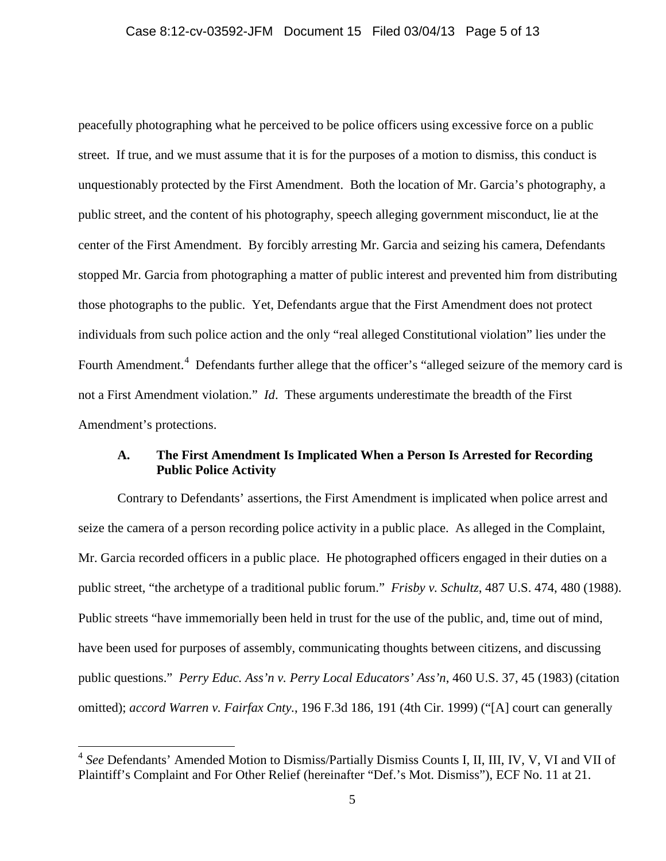peacefully photographing what he perceived to be police officers using excessive force on a public street. If true, and we must assume that it is for the purposes of a motion to dismiss, this conduct is unquestionably protected by the First Amendment. Both the location of Mr. Garcia's photography, a public street, and the content of his photography, speech alleging government misconduct, lie at the center of the First Amendment. By forcibly arresting Mr. Garcia and seizing his camera, Defendants stopped Mr. Garcia from photographing a matter of public interest and prevented him from distributing those photographs to the public. Yet, Defendants argue that the First Amendment does not protect individuals from such police action and the only "real alleged Constitutional violation" lies under the Fourth Amendment.<sup>[4](#page-4-0)</sup> Defendants further allege that the officer's "alleged seizure of the memory card is not a First Amendment violation." *Id*. These arguments underestimate the breadth of the First Amendment's protections.

### **A. The First Amendment Is Implicated When a Person Is Arrested for Recording Public Police Activity**

Contrary to Defendants' assertions, the First Amendment is implicated when police arrest and seize the camera of a person recording police activity in a public place. As alleged in the Complaint, Mr. Garcia recorded officers in a public place. He photographed officers engaged in their duties on a public street, "the archetype of a traditional public forum." *Frisby v. Schultz*, 487 U.S. 474, 480 (1988). Public streets "have immemorially been held in trust for the use of the public, and, time out of mind, have been used for purposes of assembly, communicating thoughts between citizens, and discussing public questions." *Perry Educ. Ass'n v. Perry Local Educators' Ass'n*, 460 U.S. 37, 45 (1983) (citation omitted); *accord Warren v. Fairfax Cnty.*, 196 F.3d 186, 191 (4th Cir. 1999) ("[A] court can generally

 $\overline{a}$ 

<span id="page-4-0"></span><sup>4</sup> *See* Defendants' Amended Motion to Dismiss/Partially Dismiss Counts I, II, III, IV, V, VI and VII of Plaintiff's Complaint and For Other Relief (hereinafter "Def.'s Mot. Dismiss"), ECF No. 11 at 21.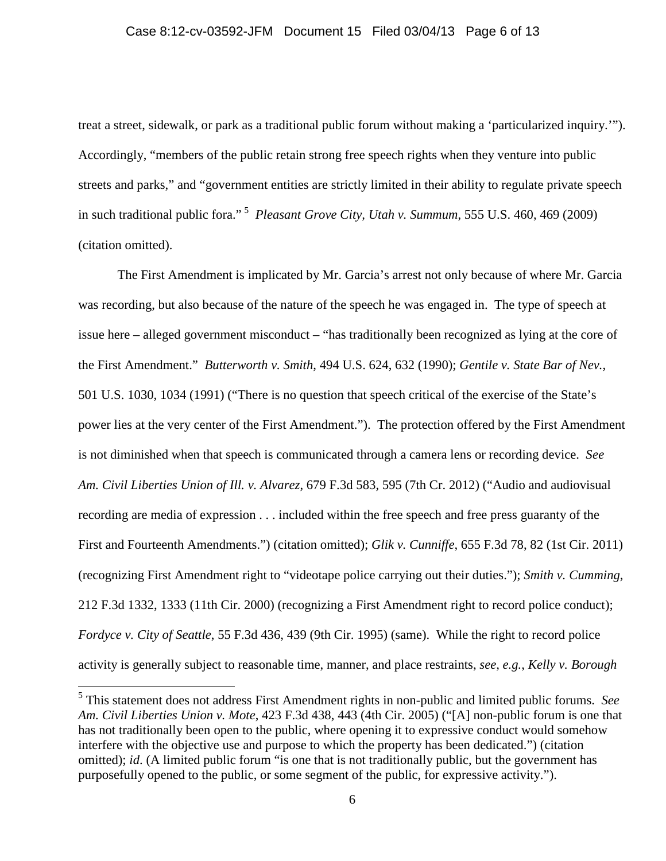#### Case 8:12-cv-03592-JFM Document 15 Filed 03/04/13 Page 6 of 13

treat a street, sidewalk, or park as a traditional public forum without making a 'particularized inquiry.'"). Accordingly, "members of the public retain strong free speech rights when they venture into public streets and parks," and "government entities are strictly limited in their ability to regulate private speech in such traditional public fora." [5](#page-5-0) *Pleasant Grove City, Utah v. Summum*, 555 U.S. 460, 469 (2009) (citation omitted).

The First Amendment is implicated by Mr. Garcia's arrest not only because of where Mr. Garcia was recording, but also because of the nature of the speech he was engaged in. The type of speech at issue here – alleged government misconduct – "has traditionally been recognized as lying at the core of the First Amendment." *Butterworth v. Smith*, 494 U.S. 624, 632 (1990); *Gentile v. State Bar of Nev.*, 501 U.S. 1030, 1034 (1991) ("There is no question that speech critical of the exercise of the State's power lies at the very center of the First Amendment."). The protection offered by the First Amendment is not diminished when that speech is communicated through a camera lens or recording device. *See Am. Civil Liberties Union of Ill. v. Alvarez*, 679 F.3d 583, 595 (7th Cr. 2012) ("Audio and audiovisual recording are media of expression . . . included within the free speech and free press guaranty of the First and Fourteenth Amendments.") (citation omitted); *Glik v. Cunniffe*, 655 F.3d 78, 82 (1st Cir. 2011) (recognizing First Amendment right to "videotape police carrying out their duties."); *Smith v. Cumming*, 212 F.3d 1332, 1333 (11th Cir. 2000) (recognizing a First Amendment right to record police conduct); *Fordyce v. City of Seattle*, 55 F.3d 436, 439 (9th Cir. 1995) (same). While the right to record police activity is generally subject to reasonable time, manner, and place restraints, *see, e.g.*, *Kelly v. Borough* 

 $\overline{a}$ 

<span id="page-5-0"></span><sup>5</sup> This statement does not address First Amendment rights in non-public and limited public forums. *See Am. Civil Liberties Union v. Mote*, 423 F.3d 438, 443 (4th Cir. 2005) ("[A] non-public forum is one that has not traditionally been open to the public, where opening it to expressive conduct would somehow interfere with the objective use and purpose to which the property has been dedicated.") (citation omitted); *id*. (A limited public forum "is one that is not traditionally public, but the government has purposefully opened to the public, or some segment of the public, for expressive activity.").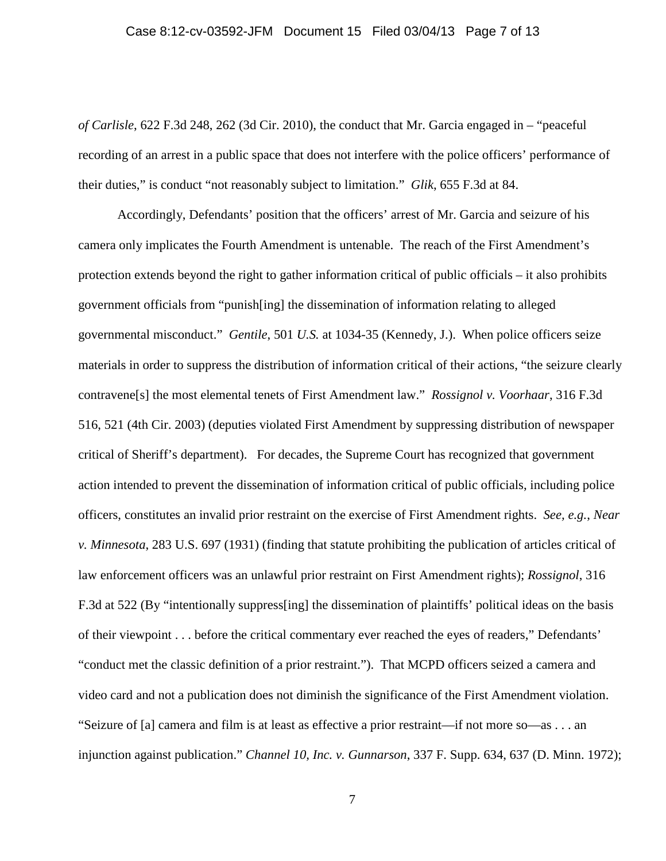### Case 8:12-cv-03592-JFM Document 15 Filed 03/04/13 Page 7 of 13

*of Carlisle*, 622 F.3d 248, 262 (3d Cir. 2010), the conduct that Mr. Garcia engaged in – "peaceful recording of an arrest in a public space that does not interfere with the police officers' performance of their duties," is conduct "not reasonably subject to limitation." *Glik*, 655 F.3d at 84.

Accordingly, Defendants' position that the officers' arrest of Mr. Garcia and seizure of his camera only implicates the Fourth Amendment is untenable. The reach of the First Amendment's protection extends beyond the right to gather information critical of public officials – it also prohibits government officials from "punish[ing] the dissemination of information relating to alleged governmental misconduct." *Gentile*, 501 *U.S.* at 1034-35 (Kennedy, J.). When police officers seize materials in order to suppress the distribution of information critical of their actions, "the seizure clearly contravene[s] the most elemental tenets of First Amendment law." *Rossignol v. Voorhaar*, 316 F.3d 516, 521 (4th Cir. 2003) (deputies violated First Amendment by suppressing distribution of newspaper critical of Sheriff's department). For decades, the Supreme Court has recognized that government action intended to prevent the dissemination of information critical of public officials, including police officers, constitutes an invalid prior restraint on the exercise of First Amendment rights. *See, e.g.*, *Near v. Minnesota*, 283 U.S. 697 (1931) (finding that statute prohibiting the publication of articles critical of law enforcement officers was an unlawful prior restraint on First Amendment rights); *Rossignol*, 316 F.3d at 522 (By "intentionally suppress[ing] the dissemination of plaintiffs' political ideas on the basis of their viewpoint . . . before the critical commentary ever reached the eyes of readers," Defendants' "conduct met the classic definition of a prior restraint."). That MCPD officers seized a camera and video card and not a publication does not diminish the significance of the First Amendment violation. "Seizure of [a] camera and film is at least as effective a prior restraint—if not more so—as . . . an injunction against publication." *Channel 10, Inc. v. Gunnarson*, 337 F. Supp. 634, 637 (D. Minn. 1972);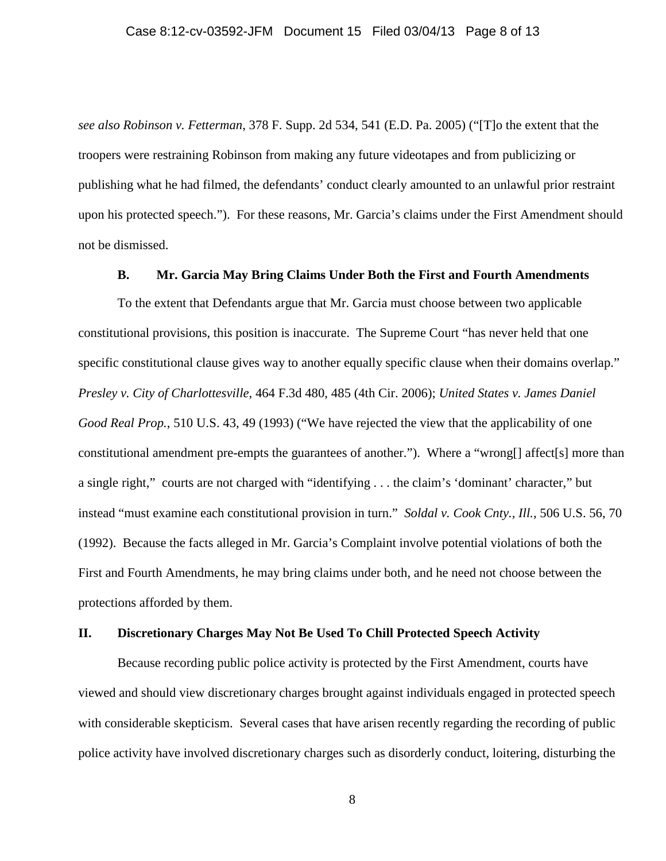*see also Robinson v. Fetterman*, 378 F. Supp. 2d 534, 541 (E.D. Pa. 2005) ("[T]o the extent that the troopers were restraining Robinson from making any future videotapes and from publicizing or publishing what he had filmed, the defendants' conduct clearly amounted to an unlawful prior restraint upon his protected speech."). For these reasons, Mr. Garcia's claims under the First Amendment should not be dismissed.

### **B. Mr. Garcia May Bring Claims Under Both the First and Fourth Amendments**

To the extent that Defendants argue that Mr. Garcia must choose between two applicable constitutional provisions, this position is inaccurate. The Supreme Court "has never held that one specific constitutional clause gives way to another equally specific clause when their domains overlap." *Presley v. City of Charlottesville*, 464 F.3d 480, 485 (4th Cir. 2006); *United States v. James Daniel Good Real Prop.*, 510 U.S. 43, 49 (1993) ("We have rejected the view that the applicability of one constitutional amendment pre-empts the guarantees of another."). Where a "wrong[] affect[s] more than a single right," courts are not charged with "identifying . . . the claim's 'dominant' character," but instead "must examine each constitutional provision in turn." *Soldal v. Cook Cnty., Ill.*, 506 U.S. 56, 70 (1992). Because the facts alleged in Mr. Garcia's Complaint involve potential violations of both the First and Fourth Amendments, he may bring claims under both, and he need not choose between the protections afforded by them.

#### **II. Discretionary Charges May Not Be Used To Chill Protected Speech Activity**

Because recording public police activity is protected by the First Amendment, courts have viewed and should view discretionary charges brought against individuals engaged in protected speech with considerable skepticism. Several cases that have arisen recently regarding the recording of public police activity have involved discretionary charges such as disorderly conduct, loitering, disturbing the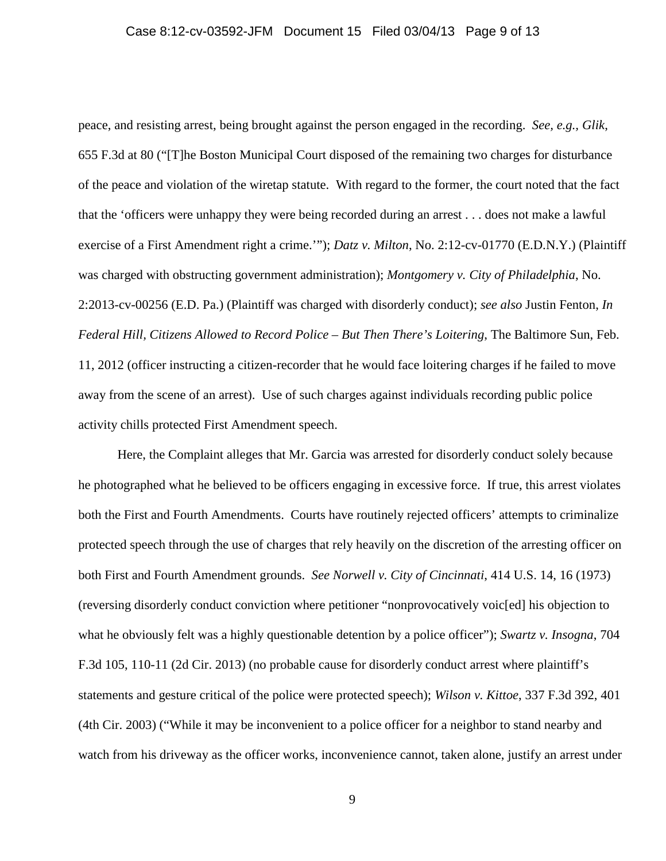# Case 8:12-cv-03592-JFM Document 15 Filed 03/04/13 Page 9 of 13

peace, and resisting arrest, being brought against the person engaged in the recording. *See, e.g., Glik*, 655 F.3d at 80 ("[T]he Boston Municipal Court disposed of the remaining two charges for disturbance of the peace and violation of the wiretap statute. With regard to the former, the court noted that the fact that the 'officers were unhappy they were being recorded during an arrest . . . does not make a lawful exercise of a First Amendment right a crime.'"); *Datz v. Milton*, No. 2:12-cv-01770 (E.D.N.Y.) (Plaintiff was charged with obstructing government administration); *Montgomery v. City of Philadelphia*, No. 2:2013-cv-00256 (E.D. Pa.) (Plaintiff was charged with disorderly conduct); *see also* Justin Fenton, *In Federal Hill, Citizens Allowed to Record Police – But Then There's Loitering*, The Baltimore Sun, Feb. 11, 2012 (officer instructing a citizen-recorder that he would face loitering charges if he failed to move away from the scene of an arrest). Use of such charges against individuals recording public police activity chills protected First Amendment speech.

Here, the Complaint alleges that Mr. Garcia was arrested for disorderly conduct solely because he photographed what he believed to be officers engaging in excessive force. If true, this arrest violates both the First and Fourth Amendments. Courts have routinely rejected officers' attempts to criminalize protected speech through the use of charges that rely heavily on the discretion of the arresting officer on both First and Fourth Amendment grounds. *See Norwell v. City of Cincinnati*, 414 U.S. 14, 16 (1973) (reversing disorderly conduct conviction where petitioner "nonprovocatively voic[ed] his objection to what he obviously felt was a highly questionable detention by a police officer"); *Swartz v. Insogna*, 704 F.3d 105, 110-11 (2d Cir. 2013) (no probable cause for disorderly conduct arrest where plaintiff's statements and gesture critical of the police were protected speech); *Wilson v. Kittoe*, 337 F.3d 392, 401 (4th Cir. 2003) ("While it may be inconvenient to a police officer for a neighbor to stand nearby and watch from his driveway as the officer works, inconvenience cannot, taken alone, justify an arrest under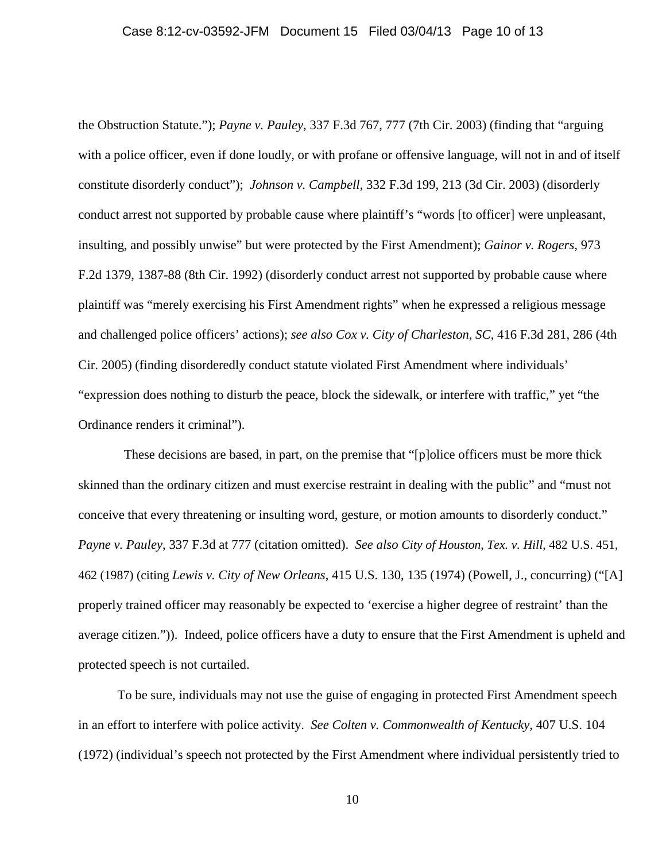### Case 8:12-cv-03592-JFM Document 15 Filed 03/04/13 Page 10 of 13

the Obstruction Statute."); *Payne v. Pauley*, 337 F.3d 767, 777 (7th Cir. 2003) (finding that "arguing with a police officer, even if done loudly, or with profane or offensive language, will not in and of itself constitute disorderly conduct"); *Johnson v. Campbell*, 332 F.3d 199, 213 (3d Cir. 2003) (disorderly conduct arrest not supported by probable cause where plaintiff's "words [to officer] were unpleasant, insulting, and possibly unwise" but were protected by the First Amendment); *Gainor v. Rogers*, 973 F.2d 1379, 1387-88 (8th Cir. 1992) (disorderly conduct arrest not supported by probable cause where plaintiff was "merely exercising his First Amendment rights" when he expressed a religious message and challenged police officers' actions); *see also Cox v. City of Charleston, SC*, 416 F.3d 281, 286 (4th Cir. 2005) (finding disorderedly conduct statute violated First Amendment where individuals' "expression does nothing to disturb the peace, block the sidewalk, or interfere with traffic," yet "the Ordinance renders it criminal").

 These decisions are based, in part, on the premise that "[p]olice officers must be more thick skinned than the ordinary citizen and must exercise restraint in dealing with the public" and "must not conceive that every threatening or insulting word, gesture, or motion amounts to disorderly conduct." *Payne v. Pauley*, 337 F.3d at 777 (citation omitted). *See also City of Houston, Tex. v. Hill*, 482 U.S. 451, 462 (1987) (citing *Lewis v. City of New Orleans*, 415 U.S. 130, 135 (1974) (Powell, J., concurring) ("[A] properly trained officer may reasonably be expected to 'exercise a higher degree of restraint' than the average citizen.")). Indeed, police officers have a duty to ensure that the First Amendment is upheld and protected speech is not curtailed.

To be sure, individuals may not use the guise of engaging in protected First Amendment speech in an effort to interfere with police activity. *See Colten v. Commonwealth of Kentucky*, 407 U.S. 104 (1972) (individual's speech not protected by the First Amendment where individual persistently tried to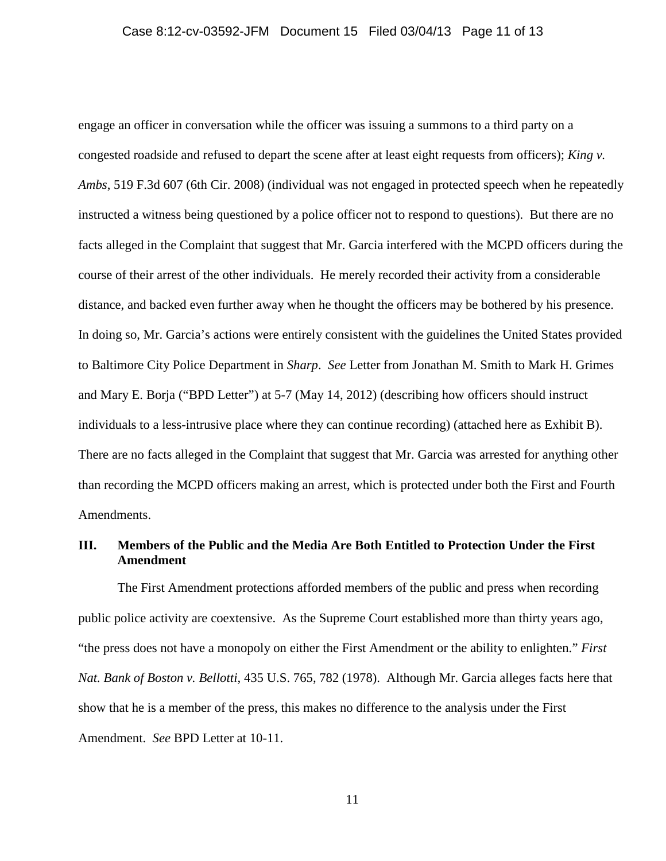engage an officer in conversation while the officer was issuing a summons to a third party on a congested roadside and refused to depart the scene after at least eight requests from officers); *King v. Ambs*, 519 F.3d 607 (6th Cir. 2008) (individual was not engaged in protected speech when he repeatedly instructed a witness being questioned by a police officer not to respond to questions). But there are no facts alleged in the Complaint that suggest that Mr. Garcia interfered with the MCPD officers during the course of their arrest of the other individuals. He merely recorded their activity from a considerable distance, and backed even further away when he thought the officers may be bothered by his presence. In doing so, Mr. Garcia's actions were entirely consistent with the guidelines the United States provided to Baltimore City Police Department in *Sharp*. *See* Letter from Jonathan M. Smith to Mark H. Grimes and Mary E. Borja ("BPD Letter") at 5-7 (May 14, 2012) (describing how officers should instruct individuals to a less-intrusive place where they can continue recording) (attached here as Exhibit B). There are no facts alleged in the Complaint that suggest that Mr. Garcia was arrested for anything other than recording the MCPD officers making an arrest, which is protected under both the First and Fourth Amendments.

### **III. Members of the Public and the Media Are Both Entitled to Protection Under the First Amendment**

 The First Amendment protections afforded members of the public and press when recording public police activity are coextensive. As the Supreme Court established more than thirty years ago, "the press does not have a monopoly on either the First Amendment or the ability to enlighten." *First Nat. Bank of Boston v. Bellotti*, 435 U.S. 765, 782 (1978). Although Mr. Garcia alleges facts here that show that he is a member of the press, this makes no difference to the analysis under the First Amendment. *See* BPD Letter at 10-11.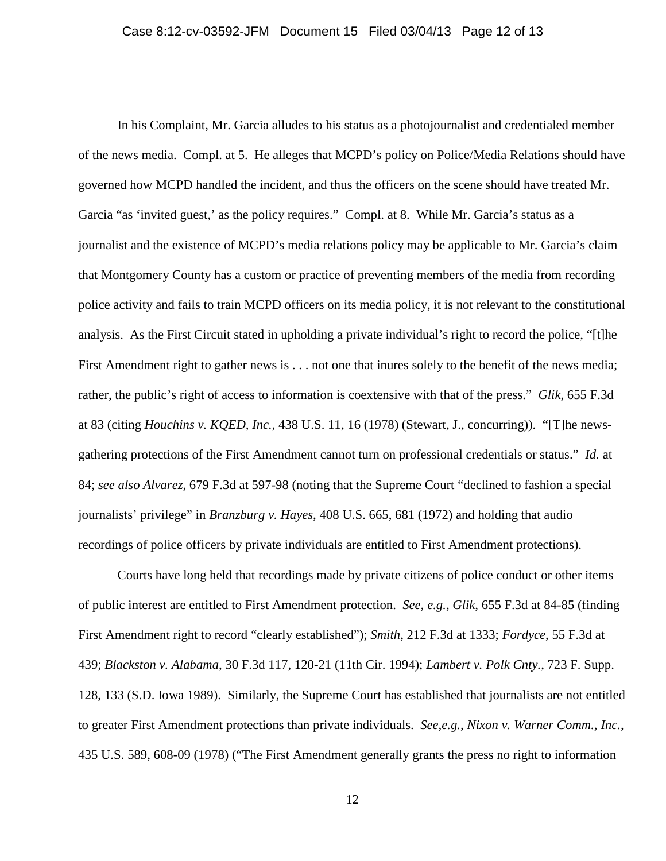In his Complaint, Mr. Garcia alludes to his status as a photojournalist and credentialed member of the news media. Compl. at 5. He alleges that MCPD's policy on Police/Media Relations should have governed how MCPD handled the incident, and thus the officers on the scene should have treated Mr. Garcia "as 'invited guest,' as the policy requires." Compl. at 8. While Mr. Garcia's status as a journalist and the existence of MCPD's media relations policy may be applicable to Mr. Garcia's claim that Montgomery County has a custom or practice of preventing members of the media from recording police activity and fails to train MCPD officers on its media policy, it is not relevant to the constitutional analysis. As the First Circuit stated in upholding a private individual's right to record the police, "[t]he First Amendment right to gather news is . . . not one that inures solely to the benefit of the news media; rather, the public's right of access to information is coextensive with that of the press." *Glik*, 655 F.3d at 83 (citing *Houchins v. KQED, Inc.*, 438 U.S. 11, 16 (1978) (Stewart, J., concurring)). "[T]he newsgathering protections of the First Amendment cannot turn on professional credentials or status." *Id.* at 84; *see also Alvarez*, 679 F.3d at 597-98 (noting that the Supreme Court "declined to fashion a special journalists' privilege" in *Branzburg v. Hayes*, 408 U.S. 665, 681 (1972) and holding that audio recordings of police officers by private individuals are entitled to First Amendment protections).

 Courts have long held that recordings made by private citizens of police conduct or other items of public interest are entitled to First Amendment protection. *See, e.g.*, *Glik*, 655 F.3d at 84-85 (finding First Amendment right to record "clearly established"); *Smith*, 212 F.3d at 1333; *Fordyce*, 55 F.3d at 439; *Blackston v. Alabama*, 30 F.3d 117, 120-21 (11th Cir. 1994); *Lambert v. Polk Cnty.*, 723 F. Supp. 128, 133 (S.D. Iowa 1989). Similarly, the Supreme Court has established that journalists are not entitled to greater First Amendment protections than private individuals. *See,e.g.*, *Nixon v. Warner Comm., Inc.*, 435 U.S. 589, 608-09 (1978) ("The First Amendment generally grants the press no right to information